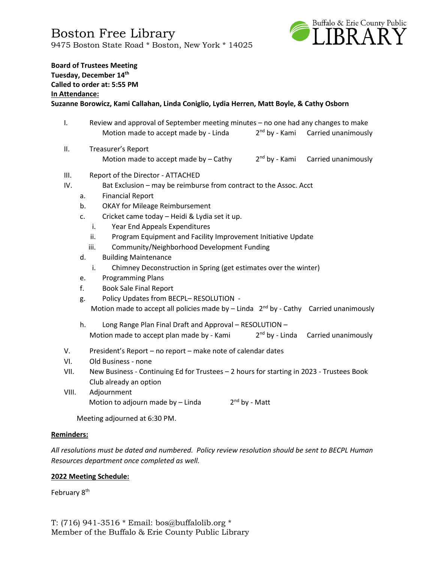

# **Board of Trustees Meeting Tuesday, December 14th Called to order at: 5:55 PM In Attendance:**

## **Suzanne Borowicz, Kami Callahan, Linda Coniglio, Lydia Herren, Matt Boyle, & Cathy Osborn**

- I. Review and approval of September meeting minutes no one had any changes to make Motion made to accept made by - Linda 2  $2<sup>nd</sup>$  by - Kami Carried unanimously
- II. Treasurer's Report Motion made to accept made by  $-$  Cathy 2<sup>nd</sup> by - Kami Carried unanimously

#### III. Report of the Director - ATTACHED

- IV. Bat Exclusion may be reimburse from contract to the Assoc. Acct
	- a. Financial Report
	- b. OKAY for Mileage Reimbursement
	- c. Cricket came today Heidi & Lydia set it up.
		- i. Year End Appeals Expenditures
		- ii. Program Equipment and Facility Improvement Initiative Update
		- iii. Community/Neighborhood Development Funding
	- d. Building Maintenance
		- i. Chimney Deconstruction in Spring (get estimates over the winter)
	- e. Programming Plans
	- f. Book Sale Final Report
	- g. Policy Updates from BECPL– RESOLUTION Motion made to accept all policies made by  $-$  Linda  $2^{nd}$  by - Cathy Carried unanimously
	- h. Long Range Plan Final Draft and Approval RESOLUTION Motion made to accept plan made by - Kami 2  $2<sup>nd</sup>$  by - Linda Carried unanimously
- V. President's Report no report make note of calendar dates
- VI. Old Business none
- VII. New Business Continuing Ed for Trustees 2 hours for starting in 2023 Trustees Book Club already an option
- VIII. Adjournment Motion to adjourn made by  $-$  Linda  $2<sup>nd</sup>$  by - Matt

Meeting adjourned at 6:30 PM.

#### **Reminders:**

*All resolutions must be dated and numbered. Policy review resolution should be sent to BECPL Human Resources department once completed as well.* 

### **2022 Meeting Schedule:**

February 8<sup>th</sup>

T: (716) 941-3516 \* Email: [bos@buffalolib.org](mailto:bos@buffalolib.org) \* Member of the Buffalo & Erie County Public Library